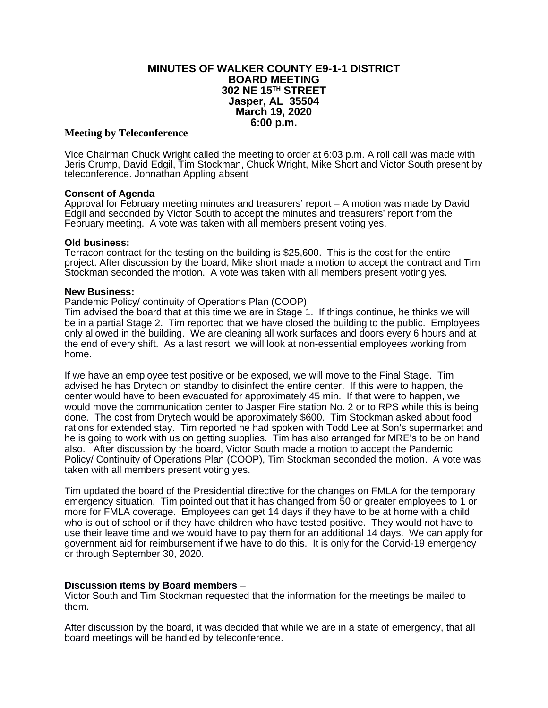# **MINUTES OF WALKER COUNTY E9-1-1 DISTRICT BOARD MEETING 302 NE 15TH STREET Jasper, AL 35504 March 19, 2020 6:00 p.m.**

### **Meeting by Teleconference**

Vice Chairman Chuck Wright called the meeting to order at 6:03 p.m. A roll call was made with Jeris Crump, David Edgil, Tim Stockman, Chuck Wright, Mike Short and Victor South present by teleconference. Johnathan Appling absent

### **Consent of Agenda**

Approval for February meeting minutes and treasurers' report – A motion was made by David Edgil and seconded by Victor South to accept the minutes and treasurers' report from the February meeting. A vote was taken with all members present voting yes.

### **Old business:**

Terracon contract for the testing on the building is \$25,600. This is the cost for the entire project. After discussion by the board, Mike short made a motion to accept the contract and Tim Stockman seconded the motion. A vote was taken with all members present voting yes.

#### **New Business:**

### Pandemic Policy/ continuity of Operations Plan (COOP)

Tim advised the board that at this time we are in Stage 1. If things continue, he thinks we will be in a partial Stage 2. Tim reported that we have closed the building to the public. Employees only allowed in the building. We are cleaning all work surfaces and doors every 6 hours and at the end of every shift. As a last resort, we will look at non-essential employees working from home.

If we have an employee test positive or be exposed, we will move to the Final Stage. Tim advised he has Drytech on standby to disinfect the entire center. If this were to happen, the center would have to been evacuated for approximately 45 min. If that were to happen, we would move the communication center to Jasper Fire station No. 2 or to RPS while this is being done. The cost from Drytech would be approximately \$600. Tim Stockman asked about food rations for extended stay. Tim reported he had spoken with Todd Lee at Son's supermarket and he is going to work with us on getting supplies. Tim has also arranged for MRE's to be on hand also. After discussion by the board, Victor South made a motion to accept the Pandemic Policy/ Continuity of Operations Plan (COOP), Tim Stockman seconded the motion. A vote was taken with all members present voting yes.

Tim updated the board of the Presidential directive for the changes on FMLA for the temporary emergency situation. Tim pointed out that it has changed from 50 or greater employees to 1 or more for FMLA coverage. Employees can get 14 days if they have to be at home with a child who is out of school or if they have children who have tested positive. They would not have to use their leave time and we would have to pay them for an additional 14 days. We can apply for government aid for reimbursement if we have to do this. It is only for the Corvid-19 emergency or through September 30, 2020.

# **Discussion items by Board members** –

Victor South and Tim Stockman requested that the information for the meetings be mailed to them.

After discussion by the board, it was decided that while we are in a state of emergency, that all board meetings will be handled by teleconference.